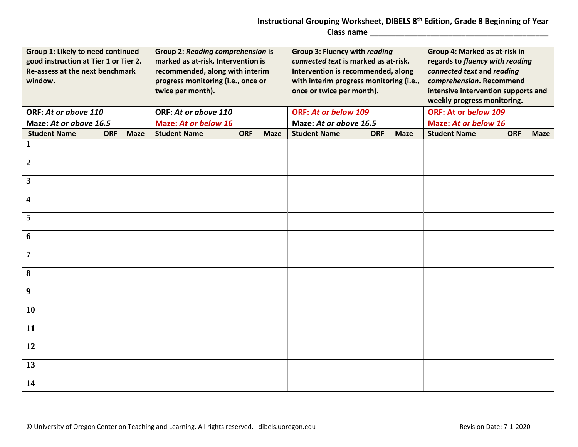## **Instructional Grouping Worksheet, DIBELS 8th Edition, Grade 8 Beginning of Year Class name** \_\_\_\_\_\_\_\_\_\_\_\_\_\_\_\_\_\_\_\_\_\_\_\_\_\_\_\_\_\_\_\_\_\_\_\_\_\_\_\_\_

| Group 1: Likely to need continued<br>good instruction at Tier 1 or Tier 2.<br>Re-assess at the next benchmark<br>window. |            |             | <b>Group 2: Reading comprehension is</b><br>marked as at-risk. Intervention is<br>recommended, along with interim<br>progress monitoring (i.e., once or<br>twice per month). |            |             | <b>Group 3: Fluency with reading</b><br>connected text is marked as at-risk.<br>Intervention is recommended, along<br>with interim progress monitoring (i.e.,<br>once or twice per month). |                           | Group 4: Marked as at-risk in<br>regards to fluency with reading<br>connected text and reading<br>comprehension. Recommend<br>intensive intervention supports and<br>weekly progress monitoring. |            |             |  |
|--------------------------------------------------------------------------------------------------------------------------|------------|-------------|------------------------------------------------------------------------------------------------------------------------------------------------------------------------------|------------|-------------|--------------------------------------------------------------------------------------------------------------------------------------------------------------------------------------------|---------------------------|--------------------------------------------------------------------------------------------------------------------------------------------------------------------------------------------------|------------|-------------|--|
| ORF: At or above 110                                                                                                     |            |             | ORF: At or above 110                                                                                                                                                         |            |             | <b>ORF: At or below 109</b>                                                                                                                                                                |                           | ORF: At or below 109                                                                                                                                                                             |            |             |  |
| Maze: At or above 16.5                                                                                                   |            |             | <b>Maze: At or below 16</b>                                                                                                                                                  |            |             | Maze: At or above 16.5                                                                                                                                                                     |                           | <b>Maze: At or below 16</b>                                                                                                                                                                      |            |             |  |
| <b>Student Name</b>                                                                                                      | <b>ORF</b> | <b>Maze</b> | <b>Student Name</b>                                                                                                                                                          | <b>ORF</b> | <b>Maze</b> | <b>Student Name</b>                                                                                                                                                                        | <b>ORF</b><br><b>Maze</b> | <b>Student Name</b>                                                                                                                                                                              | <b>ORF</b> | <b>Maze</b> |  |
| 1                                                                                                                        |            |             |                                                                                                                                                                              |            |             |                                                                                                                                                                                            |                           |                                                                                                                                                                                                  |            |             |  |
| $\overline{2}$                                                                                                           |            |             |                                                                                                                                                                              |            |             |                                                                                                                                                                                            |                           |                                                                                                                                                                                                  |            |             |  |
| $\overline{3}$                                                                                                           |            |             |                                                                                                                                                                              |            |             |                                                                                                                                                                                            |                           |                                                                                                                                                                                                  |            |             |  |
| $\blacktriangleleft$                                                                                                     |            |             |                                                                                                                                                                              |            |             |                                                                                                                                                                                            |                           |                                                                                                                                                                                                  |            |             |  |
| 5                                                                                                                        |            |             |                                                                                                                                                                              |            |             |                                                                                                                                                                                            |                           |                                                                                                                                                                                                  |            |             |  |
| 6                                                                                                                        |            |             |                                                                                                                                                                              |            |             |                                                                                                                                                                                            |                           |                                                                                                                                                                                                  |            |             |  |
| $\overline{7}$                                                                                                           |            |             |                                                                                                                                                                              |            |             |                                                                                                                                                                                            |                           |                                                                                                                                                                                                  |            |             |  |
| 8                                                                                                                        |            |             |                                                                                                                                                                              |            |             |                                                                                                                                                                                            |                           |                                                                                                                                                                                                  |            |             |  |
| 9                                                                                                                        |            |             |                                                                                                                                                                              |            |             |                                                                                                                                                                                            |                           |                                                                                                                                                                                                  |            |             |  |
| 10                                                                                                                       |            |             |                                                                                                                                                                              |            |             |                                                                                                                                                                                            |                           |                                                                                                                                                                                                  |            |             |  |
| <b>11</b>                                                                                                                |            |             |                                                                                                                                                                              |            |             |                                                                                                                                                                                            |                           |                                                                                                                                                                                                  |            |             |  |
| 12                                                                                                                       |            |             |                                                                                                                                                                              |            |             |                                                                                                                                                                                            |                           |                                                                                                                                                                                                  |            |             |  |
| 13                                                                                                                       |            |             |                                                                                                                                                                              |            |             |                                                                                                                                                                                            |                           |                                                                                                                                                                                                  |            |             |  |
| 14                                                                                                                       |            |             |                                                                                                                                                                              |            |             |                                                                                                                                                                                            |                           |                                                                                                                                                                                                  |            |             |  |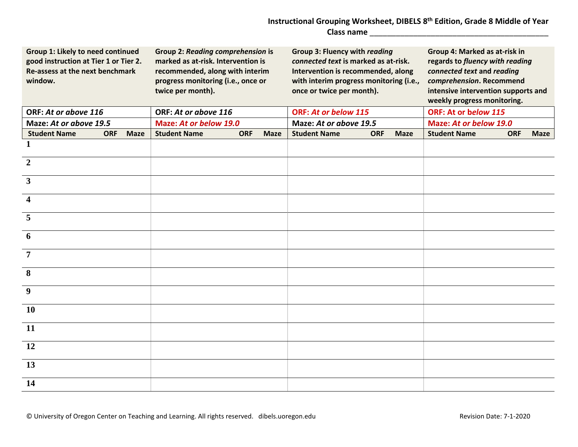## **Instructional Grouping Worksheet, DIBELS 8th Edition, Grade 8 Middle of Year Class name** \_\_\_\_\_\_\_\_\_\_\_\_\_\_\_\_\_\_\_\_\_\_\_\_\_\_\_\_\_\_\_\_\_\_\_\_\_\_\_\_\_

| Group 1: Likely to need continued<br>good instruction at Tier 1 or Tier 2.<br>Re-assess at the next benchmark<br>window. |            |             | <b>Group 2: Reading comprehension is</b><br>marked as at-risk. Intervention is<br>recommended, along with interim<br>progress monitoring (i.e., once or<br>twice per month). |            |             | <b>Group 3: Fluency with reading</b><br>connected text is marked as at-risk.<br>Intervention is recommended, along<br>with interim progress monitoring (i.e.,<br>once or twice per month). |                           | Group 4: Marked as at-risk in<br>regards to fluency with reading<br>connected text and reading<br>comprehension. Recommend<br>intensive intervention supports and<br>weekly progress monitoring. |            |             |
|--------------------------------------------------------------------------------------------------------------------------|------------|-------------|------------------------------------------------------------------------------------------------------------------------------------------------------------------------------|------------|-------------|--------------------------------------------------------------------------------------------------------------------------------------------------------------------------------------------|---------------------------|--------------------------------------------------------------------------------------------------------------------------------------------------------------------------------------------------|------------|-------------|
| ORF: At or above 116                                                                                                     |            |             | ORF: At or above 116                                                                                                                                                         |            |             | <b>ORF: At or below 115</b>                                                                                                                                                                |                           | ORF: At or below 115                                                                                                                                                                             |            |             |
| Maze: At or above 19.5                                                                                                   |            |             | Maze: At or below 19.0                                                                                                                                                       |            |             | Maze: At or above 19.5                                                                                                                                                                     |                           | Maze: At or below 19.0                                                                                                                                                                           |            |             |
| <b>Student Name</b>                                                                                                      | <b>ORF</b> | <b>Maze</b> | <b>Student Name</b>                                                                                                                                                          | <b>ORF</b> | <b>Maze</b> | <b>Student Name</b>                                                                                                                                                                        | <b>ORF</b><br><b>Maze</b> | <b>Student Name</b>                                                                                                                                                                              | <b>ORF</b> | <b>Maze</b> |
| 1                                                                                                                        |            |             |                                                                                                                                                                              |            |             |                                                                                                                                                                                            |                           |                                                                                                                                                                                                  |            |             |
| $\overline{2}$                                                                                                           |            |             |                                                                                                                                                                              |            |             |                                                                                                                                                                                            |                           |                                                                                                                                                                                                  |            |             |
| $\mathbf{3}$                                                                                                             |            |             |                                                                                                                                                                              |            |             |                                                                                                                                                                                            |                           |                                                                                                                                                                                                  |            |             |
| $\overline{\mathbf{4}}$                                                                                                  |            |             |                                                                                                                                                                              |            |             |                                                                                                                                                                                            |                           |                                                                                                                                                                                                  |            |             |
| 5                                                                                                                        |            |             |                                                                                                                                                                              |            |             |                                                                                                                                                                                            |                           |                                                                                                                                                                                                  |            |             |
| 6                                                                                                                        |            |             |                                                                                                                                                                              |            |             |                                                                                                                                                                                            |                           |                                                                                                                                                                                                  |            |             |
| 7                                                                                                                        |            |             |                                                                                                                                                                              |            |             |                                                                                                                                                                                            |                           |                                                                                                                                                                                                  |            |             |
| 8                                                                                                                        |            |             |                                                                                                                                                                              |            |             |                                                                                                                                                                                            |                           |                                                                                                                                                                                                  |            |             |
| 9                                                                                                                        |            |             |                                                                                                                                                                              |            |             |                                                                                                                                                                                            |                           |                                                                                                                                                                                                  |            |             |
| 10                                                                                                                       |            |             |                                                                                                                                                                              |            |             |                                                                                                                                                                                            |                           |                                                                                                                                                                                                  |            |             |
| <b>11</b>                                                                                                                |            |             |                                                                                                                                                                              |            |             |                                                                                                                                                                                            |                           |                                                                                                                                                                                                  |            |             |
| 12                                                                                                                       |            |             |                                                                                                                                                                              |            |             |                                                                                                                                                                                            |                           |                                                                                                                                                                                                  |            |             |
| 13                                                                                                                       |            |             |                                                                                                                                                                              |            |             |                                                                                                                                                                                            |                           |                                                                                                                                                                                                  |            |             |
| 14                                                                                                                       |            |             |                                                                                                                                                                              |            |             |                                                                                                                                                                                            |                           |                                                                                                                                                                                                  |            |             |